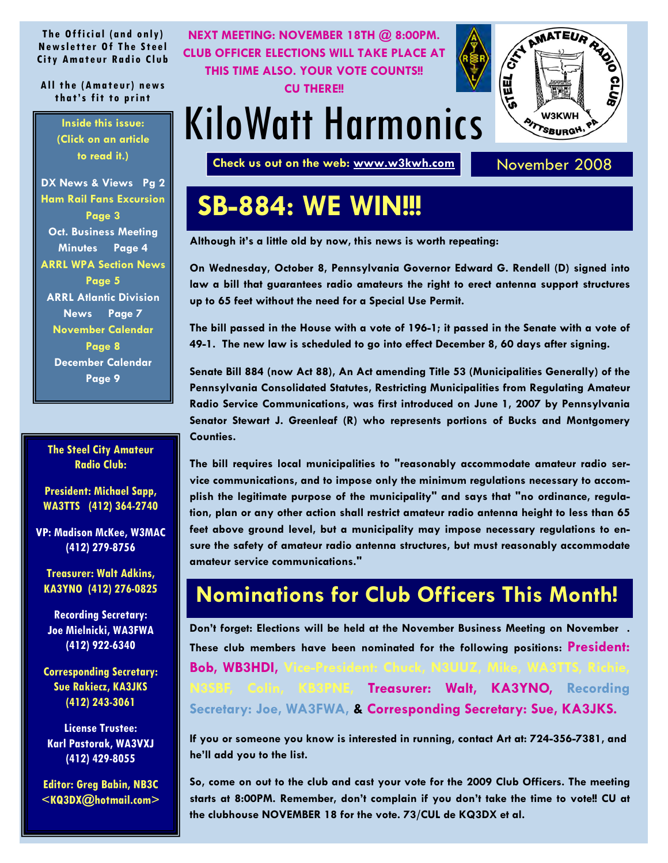<span id="page-0-0"></span>**The Official (and only) Newsletter Of The Steel City Amateur Radio Club** 

**All the (Amateur) news that's fit to print** 

> **Inside this issue: (Click on an article to read it.)**

**[DX News & Views Pg 2](#page-1-0) [Ham Rail Fans Excursion](#page-2-0) Page 3 [Oct. Business Meeting](#page-3-0)  Minutes Page 4 [ARRL WPA Section News](#page-4-0)  Page 5 [ARRL Atlantic Division](#page-6-0) News Page 7 [November Calendar](#page-7-0) Page 8 [December Calendar](#page-8-0) Page 9** 

**The Steel City Amateur Radio Club:** 

**President: Michael Sapp, WA3TTS (412) 364-2740** 

**VP: Madison McKee, W3MAC (412) 279-8756** 

**Treasurer: Walt Adkins, KA3YNO (412) 276-0825** 

**Recording Secretary: Joe Mielnicki, WA3FWA (412) 922-6340** 

**Corresponding Secretary: Sue Rakiecz, KA3JKS (412) 243-3061** 

**License Trustee: Karl Pastorak, WA3VXJ (412) 429-8055** 

**Editor: Greg Babin, NB3C <KQ3DX@hotmail.com>** 



## **SB-884: WE WIN!!!**

**Although it's a little old by now, this news is worth repeating:** 

**On Wednesday, October 8, Pennsylvania Governor Edward G. Rendell (D) signed into law a bill that guarantees radio amateurs the right to erect antenna support structures up to 65 feet without the need for a Special Use Permit.** 

**The bill passed in the House with a vote of 196-1; it passed in the Senate with a vote of 49-1. The new law is scheduled to go into effect December 8, 60 days after signing.** 

**Senate Bill 884 (now Act 88), An Act amending Title 53 (Municipalities Generally) of the Pennsylvania Consolidated Statutes, Restricting Municipalities from Regulating Amateur Radio Service Communications, was first introduced on June 1, 2007 by Pennsylvania Senator Stewart J. Greenleaf (R) who represents portions of Bucks and Montgomery Counties.** 

**The bill requires local municipalities to "reasonably accommodate amateur radio service communications, and to impose only the minimum regulations necessary to accomplish the legitimate purpose of the municipality" and says that "no ordinance, regulation, plan or any other action shall restrict amateur radio antenna height to less than 65 feet above ground level, but a municipality may impose necessary regulations to ensure the safety of amateur radio antenna structures, but must reasonably accommodate amateur service communications."** 

### **Nominations for Club Officers This Month!**

**Don't forget: Elections will be held at the November Business Meeting on November . These club members have been nominated for the following positions: President: Bob, WB3HDI, B3PNE, Treasurer: Walt, KA3YNO, Recording Secretary: Joe, WA3FWA, & Corresponding Secretary: Sue, KA3JKS.** 

**If you or someone you know is interested in running, contact Art at: 724-356-7381, and he'll add you to the list.** 

**So, come on out to the club and cast your vote for the 2009 Club Officers. The meeting starts at 8:00PM. Remember, don't complain if you don't take the time to vote!! CU at the clubhouse NOVEMBER 18 for the vote. 73/CUL de KQ3DX et al.**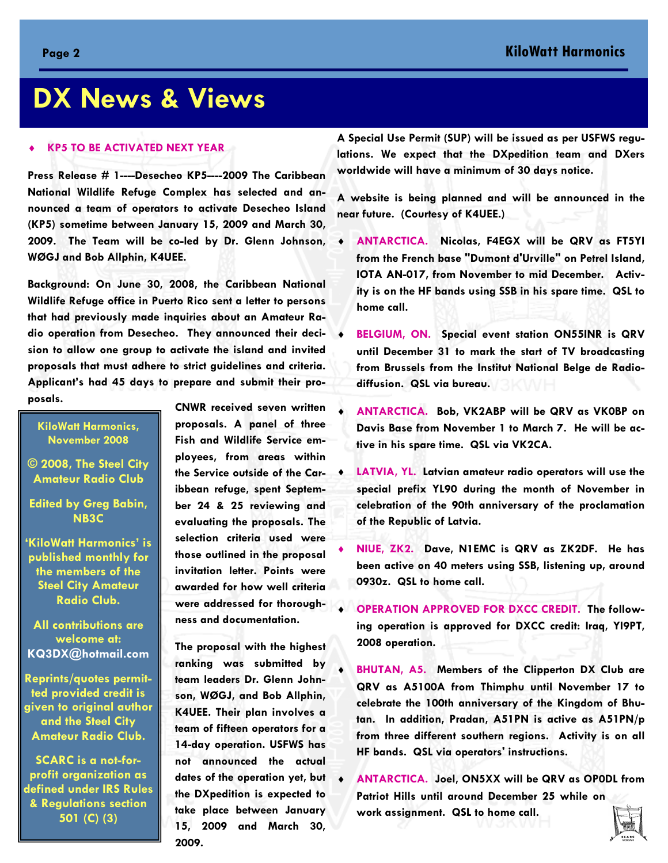## <span id="page-1-0"></span>**DX News & Views**

#### ♦ **KP5 TO BE ACTIVATED NEXT YEAR**

**Press Release # 1----Desecheo KP5----2009 The Caribbean National Wildlife Refuge Complex has selected and announced a team of operators to activate Desecheo Island (KP5) sometime between January 15, 2009 and March 30, 2009. The Team will be co-led by Dr. Glenn Johnson, WØGJ and Bob Allphin, K4UEE.** 

**Background: On June 30, 2008, the Caribbean National Wildlife Refuge office in Puerto Rico sent a letter to persons that had previously made inquiries about an Amateur Radio operation from Desecheo. They announced their decision to allow one group to activate the island and invited proposals that must adhere to strict guidelines and criteria. Applicant's had 45 days to prepare and submit their proposals. CNWR received seven written** 

**KiloWatt Harmonics, November 2008** 

- **© 2008, The Steel City Amateur Radio Club**
- **Edited by Greg Babin, NB3C**

**'KiloWatt Harmonics' is published monthly for the members of the Steel City Amateur Radio Club.** 

**All contributions are welcome at: KQ3DX@hotmail.com**

**Reprints/quotes permitted provided credit is given to original author and the Steel City Amateur Radio Club.** 

**SCARC is a not-forprofit organization as defined under IRS Rules & Regulations section 501 (C) (3)** 

**proposals. A panel of three Fish and Wildlife Service employees, from areas within the Service outside of the Caribbean refuge, spent September 24 & 25 reviewing and evaluating the proposals. The selection criteria used were those outlined in the proposal invitation letter. Points were awarded for how well criteria were addressed for thoroughness and documentation.** 

**The proposal with the highest ranking was submitted by team leaders Dr. Glenn Johnson, WØGJ, and Bob Allphin, K4UEE. Their plan involves a team of fifteen operators for a 14-day operation. USFWS has not announced the actual dates of the operation yet, but the DXpedition is expected to take place between January 15, 2009 and March 30, 2009.** 

**A Special Use Permit (SUP) will be issued as per USFWS regulations. We expect that the DXpedition team and DXers worldwide will have a minimum of 30 days notice.** 

**A website is being planned and will be announced in the near future. (Courtesy of K4UEE.)** 

- ♦ **ANTARCTICA. Nicolas, F4EGX will be QRV as FT5YI from the French base "Dumont d'Urville" on Petrel Island, IOTA AN-017, from November to mid December. Activity is on the HF bands using SSB in his spare time. QSL to home call.**
- **BELGIUM, ON.** Special event station ON55INR is QRV **until December 31 to mark the start of TV broadcasting from Brussels from the Institut National Belge de Radiodiffusion. QSL via bureau.**
- ♦ **ANTARCTICA. Bob, VK2ABP will be QRV as VK0BP on Davis Base from November 1 to March 7. He will be active in his spare time. QSL via VK2CA.**
- **LATVIA, YL. Latvian amateur radio operators will use the special prefix YL90 during the month of November in celebration of the 90th anniversary of the proclamation of the Republic of Latvia.**
- ♦ **NIUE, ZK2. Dave, N1EMC is QRV as ZK2DF. He has been active on 40 meters using SSB, listening up, around 0930z. QSL to home call.**
- **OPERATION APPROVED FOR DXCC CREDIT. The following operation is approved for DXCC credit: Iraq, YI9PT, 2008 operation.**
- **BHUTAN, A5. Members of the Clipperton DX Club are QRV as A5100A from Thimphu until November 17 to celebrate the 100th anniversary of the Kingdom of Bhutan. In addition, Pradan, A51PN is active as A51PN/p from three different southern regions. Activity is on all HF bands. QSL via operators' instructions.**
- ♦ **ANTARCTICA. Joel, ON5XX will be QRV as OP0DL from Patriot Hills until around December 25 while on work assignment. QSL to home call.**

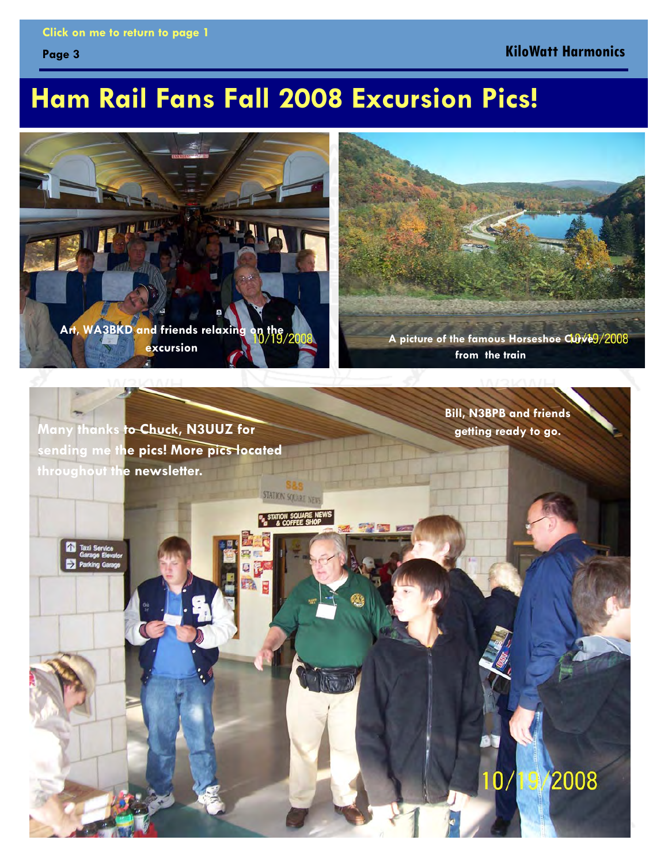#### <span id="page-2-0"></span>**[Click on me to return to page 1](#page-0-0)**

**Page 3** 

#### **KiloWatt Harmonics**

## **Ham Rail Fans Fall 2008 Excursion Pics!**



**excursion** *A picture of the famous Horseshoe Curve 9/2008***<br>excursion from the train** 

**Many thanks to Chuck, N3UUZ for sending me the pics! More pics located throughout the newsletter.** 

**Bill, N3BPB and friends getting ready to go.** 

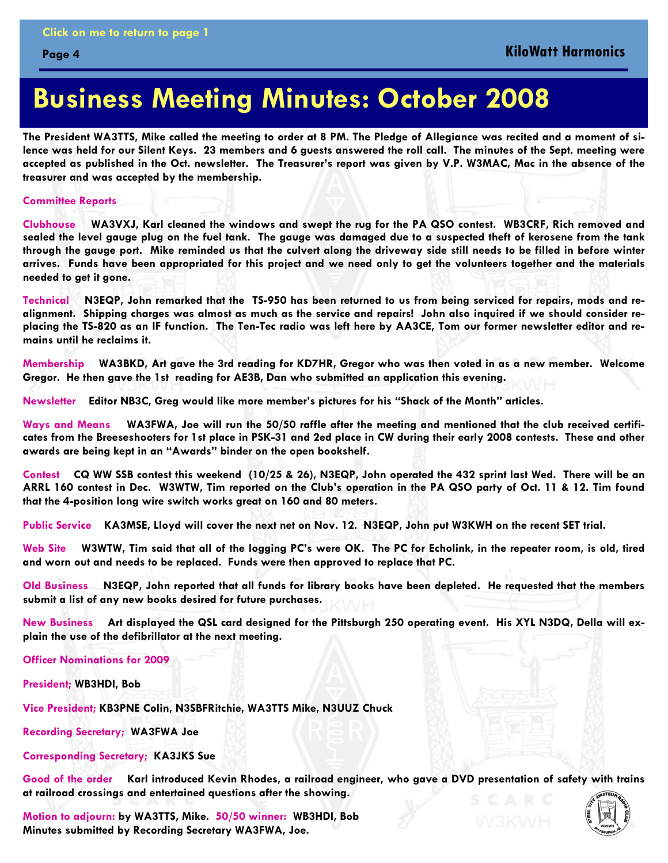## **Business Meeting Minutes: October 2008**

**The President WA3TTS, Mike called the meeting to order at 8 PM. The Pledge of Allegiance was recited and a moment of silence was held for our Silent Keys. 23 members and 6 guests answered the roll call. The minutes of the Sept. meeting were accepted as published in the Oct. newsletter. The Treasurer's report was given by V.P. W3MAC, Mac in the absence of the treasurer and was accepted by the membership.** 

#### **Committee Reports**

<span id="page-3-0"></span>**Page 4** 

**Clubhouse WA3VXJ, Karl cleaned the windows and swept the rug for the PA QSO contest. WB3CRF, Rich removed and sealed the level gauge plug on the fuel tank. The gauge was damaged due to a suspected theft of kerosene from the tank through the gauge port. Mike reminded us that the culvert along the driveway side still needs to be filled in before winter arrives. Funds have been appropriated for this project and we need only to get the volunteers together and the materials needed to get it gone.** 

**Technical N3EQP, John remarked that the TS-950 has been returned to us from being serviced for repairs, mods and realignment. Shipping charges was almost as much as the service and repairs! John also inquired if we should consider replacing the TS-820 as an IF function. The Ten-Tec radio was left here by AA3CE, Tom our former newsletter editor and remains until he reclaims it.** 

**Membership WA3BKD, Art gave the 3rd reading for KD7HR, Gregor who was then voted in as a new member. Welcome Gregor. He then gave the 1st reading for AE3B, Dan who submitted an application this evening.** 

**Newsletter Editor NB3C, Greg would like more member's pictures for his "Shack of the Month" articles.** 

**Ways and Means WA3FWA, Joe will run the 50/50 raffle after the meeting and mentioned that the club received certificates from the Breeseshooters for 1st place in PSK-31 and 2ed place in CW during their early 2008 contests. These and other awards are being kept in an "Awards" binder on the open bookshelf.** 

**Contest CQ WW SSB contest this weekend (10/25 & 26), N3EQP, John operated the 432 sprint last Wed. There will be an ARRL 160 contest in Dec. W3WTW, Tim reported on the Club's operation in the PA QSO party of Oct. 11 & 12. Tim found that the 4-position long wire switch works great on 160 and 80 meters.** 

**Public Service KA3MSE, Lloyd will cover the next net on Nov. 12. N3EQP, John put W3KWH on the recent SET trial.** 

**Web Site W3WTW, Tim said that all of the logging PC's were OK. The PC for Echolink, in the repeater room, is old, tired and worn out and needs to be replaced. Funds were then approved to replace that PC.** 

**Old Business N3EQP, John reported that all funds for library books have been depleted. He requested that the members submit a list of any new books desired for future purchases.** 

**New Business Art displayed the QSL card designed for the Pittsburgh 250 operating event. His XYL N3DQ, Della will explain the use of the defibrillator at the next meeting.** 

**Officer Nominations for 2009** 

**President; WB3HDI, Bob** 

**Vice President; KB3PNE Colin, N3SBFRitchie, WA3TTS Mike, N3UUZ Chuck** 

**Recording Secretary; WA3FWA Joe** 

**Corresponding Secretary; KA3JKS Sue** 

**Good of the order Karl introduced Kevin Rhodes, a railroad engineer, who gave a DVD presentation of safety with trains at railroad crossings and entertained questions after the showing.** 

**Motion to adjourn: by WA3TTS, Mike. 50/50 winner: WB3HDI, Bob Minutes submitted by Recording Secretary WA3FWA, Joe.** 

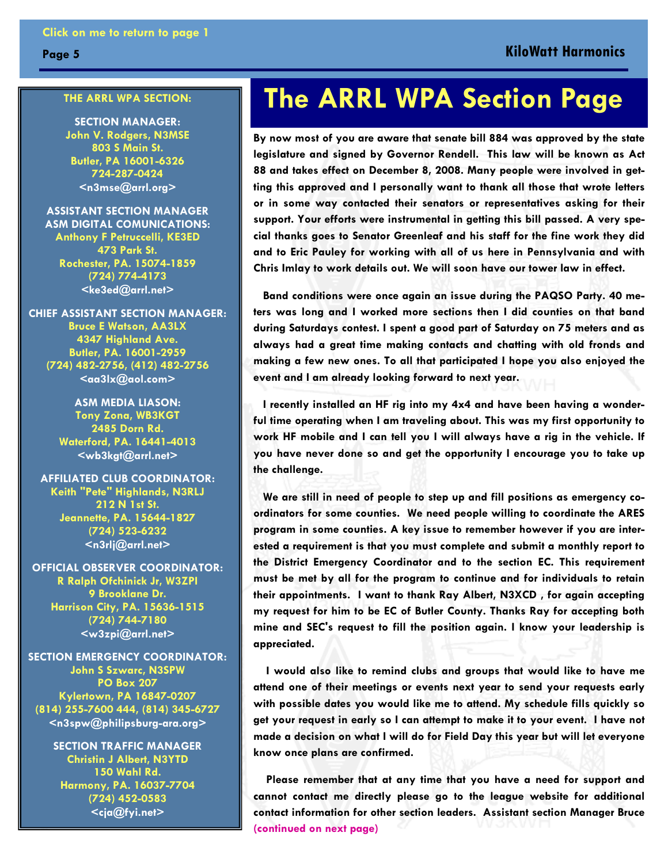#### **THE ARRL WPA SECTION:**

<span id="page-4-0"></span>**Page 5** 

**SECTION MANAGER: John V. Rodgers, N3MSE 803 S Main St. Butler, PA 16001-6326 724-287-0424 <n3mse@arrl.org>**

**ASSISTANT SECTION MANAGER ASM DIGITAL COMUNICATIONS: Anthony F Petruccelli, KE3ED 473 Park St. Rochester, PA. 15074-1859 (724) 774-4173 <ke3ed@arrl.net>** 

**CHIEF ASSISTANT SECTION MANAGER: Bruce E Watson, AA3LX 4347 Highland Ave. Butler, PA. 16001-2959 (724) 482-2756, (412) 482-2756**   $\leq$ aa $3$ lx $@$ aol.com $>$ 

> **ASM MEDIA LIASON: Tony Zona, WB3KGT 2485 Dorn Rd. Waterford, PA. 16441-4013 <wb3kgt@arrl.net>**

**AFFILIATED CLUB COORDINATOR: Keith "Pete" Highlands, N3RLJ 212 N 1st St. Jeannette, PA. 15644-1827 (724) 523-6232 <n3rlj@arrl.net>** 

**OFFICIAL OBSERVER COORDINATOR: R Ralph Ofchinick Jr, W3ZPI 9 Brooklane Dr. Harrison City, PA. 15636-1515 (724) 744-7180 <w3zpi@arrl.net>** 

**SECTION EMERGENCY COORDINATOR: John S Szwarc, N3SPW PO Box 207 Kylertown, PA 16847-0207 (814) 255-7600 444, (814) 345-6727 <n3spw@philipsburg-ara.org>**

> **SECTION TRAFFIC MANAGER Christin J Albert, N3YTD 150 Wahl Rd. Harmony, PA. 16037-7704 (724) 452-0583 <cja@fyi.net>**

## **The ARRL WPA Section Page**

**By now most of you are aware that senate bill 884 was approved by the state legislature and signed by Governor Rendell. This law will be known as Act 88 and takes effect on December 8, 2008. Many people were involved in getting this approved and I personally want to thank all those that wrote letters or in some way contacted their senators or representatives asking for their support. Your efforts were instrumental in getting this bill passed. A very special thanks goes to Senator Greenleaf and his staff for the fine work they did and to Eric Pauley for working with all of us here in Pennsylvania and with Chris Imlay to work details out. We will soon have our tower law in effect.** 

 **Band conditions were once again an issue during the PAQSO Party. 40 meters was long and I worked more sections then I did counties on that band during Saturdays contest. I spent a good part of Saturday on 75 meters and as always had a great time making contacts and chatting with old fronds and making a few new ones. To all that participated I hope you also enjoyed the event and I am already looking forward to next year.** 

 **I recently installed an HF rig into my 4x4 and have been having a wonderful time operating when I am traveling about. This was my first opportunity to work HF mobile and I can tell you I will always have a rig in the vehicle. If you have never done so and get the opportunity I encourage you to take up the challenge.** 

 **We are still in need of people to step up and fill positions as emergency coordinators for some counties. We need people willing to coordinate the ARES program in some counties. A key issue to remember however if you are interested a requirement is that you must complete and submit a monthly report to the District Emergency Coordinator and to the section EC. This requirement must be met by all for the program to continue and for individuals to retain their appointments. I want to thank Ray Albert, N3XCD , for again accepting my request for him to be EC of Butler County. Thanks Ray for accepting both mine and SEC's request to fill the position again. I know your leadership is appreciated.** 

 **I would also like to remind clubs and groups that would like to have me attend one of their meetings or events next year to send your requests early with possible dates you would like me to attend. My schedule fills quickly so get your request in early so I can attempt to make it to your event. I have not made a decision on what I will do for Field Day this year but will let everyone know once plans are confirmed.** 

 **Please remember that at any time that you have a need for support and cannot contact me directly please go to the league website for additional contact information for other section leaders. Assistant section Manager Bruce [\(continued on next page\)](#page-5-0)**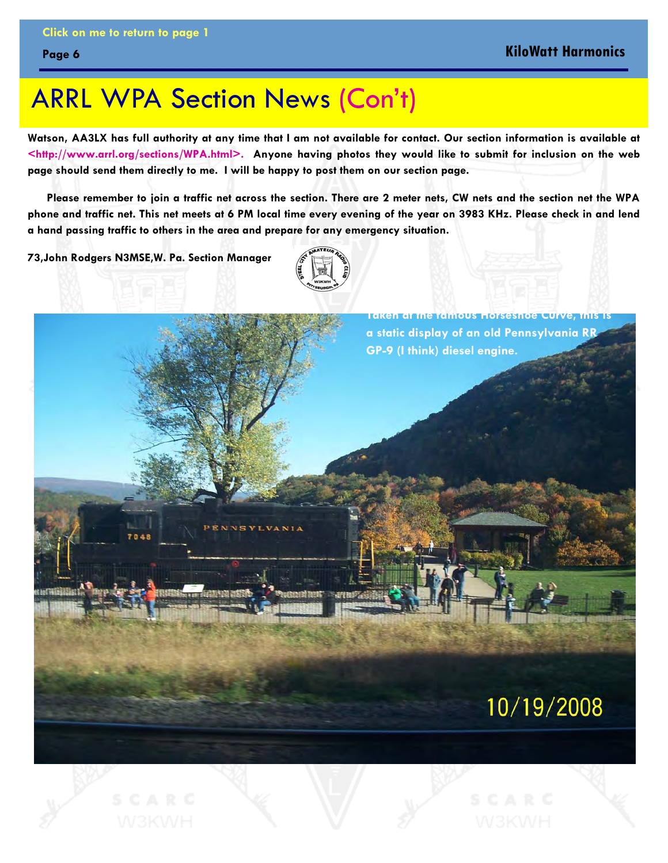## <span id="page-5-0"></span>ARRL WPA Section News [\(Con't\)](#page-4-0)

**Watson, AA3LX has full authority at any time that I am not available for contact. Our section information is available at <http://www.arrl.org/sections/WPA.html>. Anyone having photos they would like to submit for inclusion on the web page should send them directly to me. I will be happy to post them on our section page.** 

 **Please remember to join a traffic net across the section. There are 2 meter nets, CW nets and the section net the WPA phone and traffic net. This net meets at 6 PM local time every evening of the year on 3983 KHz. Please check in and lend a hand passing traffic to others in the area and prepare for any emergency situation.** 

**73,John Rodgers N3MSE,W. Pa. Section Manager** 



**Taken at the famous Horseshoe Curve, this is a static display of an old Pennsylvania RR GP-9 (I think) diesel engine.** 

### 10/19/2008

ENNSYLVANIA

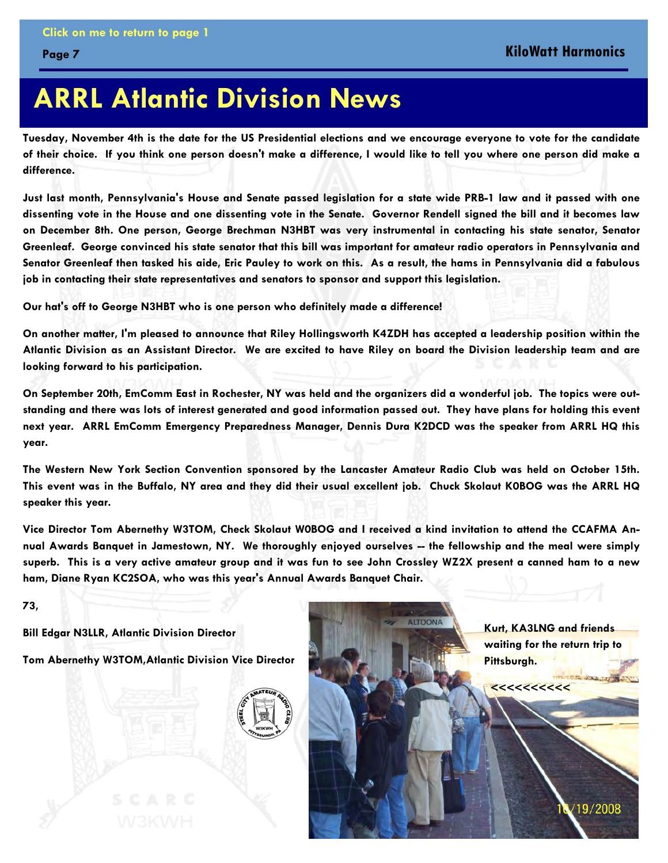<span id="page-6-0"></span>**Page 7** 

## **ARRL Atlantic Division News**

**Tuesday, November 4th is the date for the US Presidential elections and we encourage everyone to vote for the candidate of their choice. If you think one person doesn't make a difference, I would like to tell you where one person did make a difference.** 

**Just last month, Pennsylvania's House and Senate passed legislation for a state wide PRB-1 law and it passed with one dissenting vote in the House and one dissenting vote in the Senate. Governor Rendell signed the bill and it becomes law on December 8th. One person, George Brechman N3HBT was very instrumental in contacting his state senator, Senator Greenleaf. George convinced his state senator that this bill was important for amateur radio operators in Pennsylvania and Senator Greenleaf then tasked his aide, Eric Pauley to work on this. As a result, the hams in Pennsylvania did a fabulous job in contacting their state representatives and senators to sponsor and support this legislation.** 

**Our hat's off to George N3HBT who is one person who definitely made a difference!** 

**On another matter, I'm pleased to announce that Riley Hollingsworth K4ZDH has accepted a leadership position within the Atlantic Division as an Assistant Director. We are excited to have Riley on board the Division leadership team and are looking forward to his participation.** 

**On September 20th, EmComm East in Rochester, NY was held and the organizers did a wonderful job. The topics were outstanding and there was lots of interest generated and good information passed out. They have plans for holding this event next year. ARRL EmComm Emergency Preparedness Manager, Dennis Dura K2DCD was the speaker from ARRL HQ this year.** 

**The Western New York Section Convention sponsored by the Lancaster Amateur Radio Club was held on October 15th. This event was in the Buffalo, NY area and they did their usual excellent job. Chuck Skolaut K0BOG was the ARRL HQ speaker this year.** 

**Vice Director Tom Abernethy W3TOM, Check Skolaut W0BOG and I received a kind invitation to attend the CCAFMA Annual Awards Banquet in Jamestown, NY. We thoroughly enjoyed ourselves -- the fellowship and the meal were simply superb. This is a very active amateur group and it was fun to see John Crossley WZ2X present a canned ham to a new ham, Diane Ryan KC2SOA, who was this year's Annual Awards Banquet Chair.** 

**ALTOONA** 

**73,** 

**Bill Edgar N3LLR, Atlantic Division Director** 

**Tom Abernethy W3TOM,Atlantic Division Vice Director** 



**Kurt, KA3LNG and friends waiting for the return trip to Pittsburgh.** 

/19/2008

 **<<<<<<<<<<**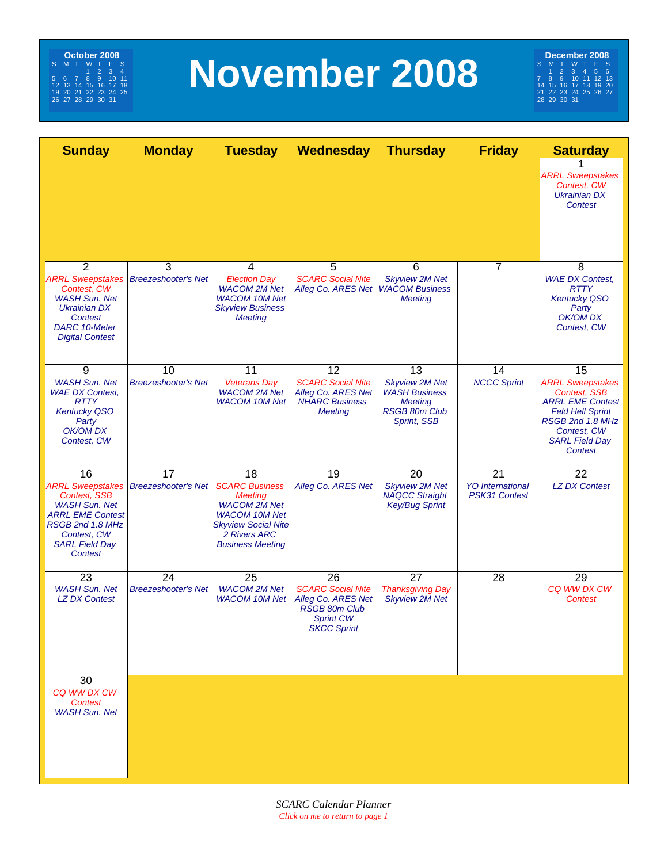<span id="page-7-0"></span>

# **November 2008**

**December 2008**<br>
S M T W T F S<br>
7 8 9 10 11 12 13<br>
7 8 9 10 11 12 13<br>
21 22 32 32 4 25 26 27<br>
22 23 23 24

| <b>Sunday</b>                                                                                                                                              | <b>Monday</b>                                       | <b>Tuesday</b>                                                                                                                                                        | Wednesday                                                                                                       | <b>Thursday</b>                                                                                                     | <b>Friday</b>                                         | <b>Saturday</b>                                                                                                                                                                   |
|------------------------------------------------------------------------------------------------------------------------------------------------------------|-----------------------------------------------------|-----------------------------------------------------------------------------------------------------------------------------------------------------------------------|-----------------------------------------------------------------------------------------------------------------|---------------------------------------------------------------------------------------------------------------------|-------------------------------------------------------|-----------------------------------------------------------------------------------------------------------------------------------------------------------------------------------|
|                                                                                                                                                            |                                                     |                                                                                                                                                                       |                                                                                                                 |                                                                                                                     |                                                       | <b>ARRL Sweepstakes</b><br>Contest, CW<br><b>Ukrainian DX</b><br>Contest                                                                                                          |
| 2                                                                                                                                                          | 3                                                   | 4                                                                                                                                                                     | 5                                                                                                               | 6                                                                                                                   | 7                                                     | 8                                                                                                                                                                                 |
| Contest, CW<br><b>WASH Sun. Net</b><br><b>Ukrainian DX</b><br><b>Contest</b><br><b>DARC 10-Meter</b><br><b>Digital Contest</b>                             | <b>ARRL Sweepstakes   Breezeshooter's Net</b>       | <b>Election Day</b><br><b>WACOM 2M Net</b><br><b>WACOM 10M Net</b><br><b>Skyview Business</b><br><b>Meeting</b>                                                       | <b>SCARC Social Nite</b><br>Alleg Co. ARES Net                                                                  | <b>Skyview 2M Net</b><br><b>WACOM Business</b><br><b>Meeting</b>                                                    |                                                       | <b>WAE DX Contest,</b><br><b>RTTY</b><br><b>Kentucky QSO</b><br>Party<br>OK/OM DX<br>Contest, CW                                                                                  |
| 9<br><b>WASH Sun. Net</b><br><b>WAE DX Contest,</b><br><b>RTTY</b><br><b>Kentucky QSO</b><br>Party<br>OK/OM DX<br>Contest, CW                              | 10<br><b>Breezeshooter's Net</b>                    | 11<br><b>Veterans Day</b><br><b>WACOM 2M Net</b><br><b>WACOM 10M Net</b>                                                                                              | 12<br><b>SCARC Social Nite</b><br>Alleg Co. ARES Net<br><b>NHARC Business</b><br><b>Meeting</b>                 | 13<br><b>Skyview 2M Net</b><br><b>WASH Business</b><br><b>Meeting</b><br><b>RSGB 80m Club</b><br><b>Sprint, SSB</b> | 14<br><b>NCCC Sprint</b>                              | 15<br><b>ARRL Sweepstakes</b><br><b>Contest. SSB</b><br><b>ARRL EME Contest</b><br><b>Feld Hell Sprint</b><br>RSGB 2nd 1.8 MHz<br>Contest, CW<br><b>SARL Field Day</b><br>Contest |
| 16<br><b>Contest, SSB</b><br><b>WASH Sun. Net</b><br><b>ARRL EME Contest</b><br>RSGB 2nd 1.8 MHz<br>Contest, CW<br><b>SARL Field Day</b><br><b>Contest</b> | 17<br><b>ARRL Sweepstakes   Breezeshooter's Net</b> | 18<br><b>SCARC Business</b><br><b>Meeting</b><br><b>WACOM 2M Net</b><br><b>WACOM 10M Net</b><br><b>Skyview Social Nite</b><br>2 Rivers ARC<br><b>Business Meeting</b> | 19<br>Alleg Co. ARES Net                                                                                        | 20<br><b>Skyview 2M Net</b><br><b>NAQCC Straight</b><br><b>Key/Bug Sprint</b>                                       | 21<br><b>YO</b> International<br><b>PSK31 Contest</b> | 22<br><b>LZ DX Contest</b>                                                                                                                                                        |
| 23<br><b>WASH Sun. Net</b><br><b>LZ DX Contest</b>                                                                                                         | 24<br><b>Breezeshooter's Net</b>                    | 25<br><b>WACOM 2M Net</b><br><b>WACOM 10M Net</b>                                                                                                                     | 26<br><b>SCARC Social Nite</b><br>Alleg Co. ARES Net<br><b>RSGB 80m Club</b><br>Sprint CW<br><b>SKCC Sprint</b> | 27<br><b>Thanksgiving Day</b><br><b>Skyview 2M Net</b>                                                              | 28                                                    | 29<br>CQ WW DX CW<br><b>Contest</b>                                                                                                                                               |
| 30<br>CQ WW DX CW<br>Contest<br><b>WASH Sun. Net</b>                                                                                                       |                                                     |                                                                                                                                                                       |                                                                                                                 |                                                                                                                     |                                                       |                                                                                                                                                                                   |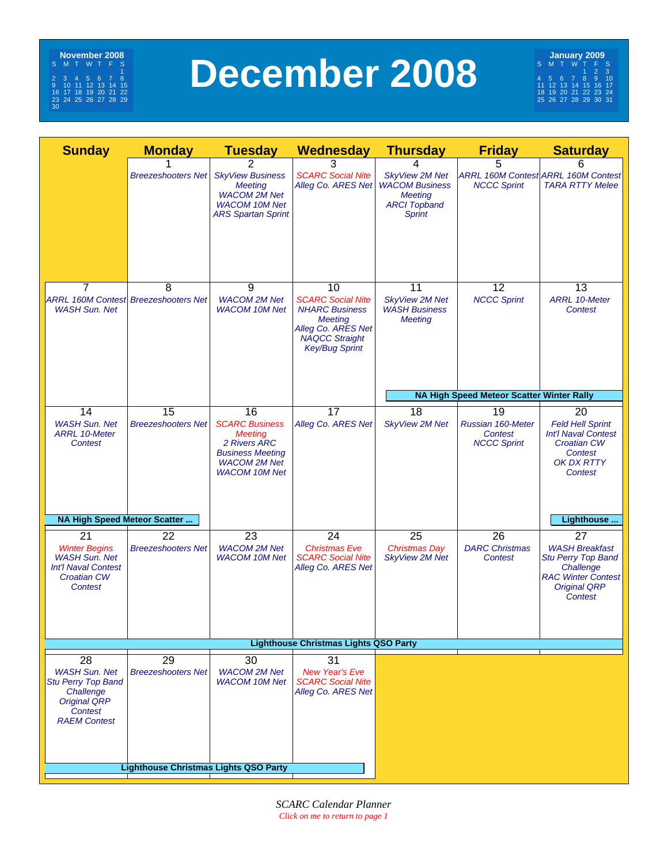<span id="page-8-0"></span>

## **December 2008**

**January 2009**<br>
S M T W T F S<br>
4 5 6 7 8 9 10<br>
11 12 13 14 15 16 17<br>
18 19 20 21 22 23 24<br>
25 26 27 28 29 30 31

| <b>Sunday</b>                                                                                                                 | <b>Monday</b>                                    | <b>Tuesday</b>                                                                                                                          | Wednesday                                                                                                                                         | <b>Thursday</b>                                                                                          | <b>Friday</b>                                            | <b>Saturday</b>                                                                                                                       |
|-------------------------------------------------------------------------------------------------------------------------------|--------------------------------------------------|-----------------------------------------------------------------------------------------------------------------------------------------|---------------------------------------------------------------------------------------------------------------------------------------------------|----------------------------------------------------------------------------------------------------------|----------------------------------------------------------|---------------------------------------------------------------------------------------------------------------------------------------|
|                                                                                                                               | <b>Breezeshooters Net</b>                        | 2<br><b>SkyView Business</b><br><b>Meeting</b><br><b>WACOM 2M Net</b><br><b>WACOM 10M Net</b><br><b>ARS Spartan Sprint</b>              | 3<br><b>SCARC Social Nite</b><br>Alleg Co. ARES Net                                                                                               | <b>SkyView 2M Net</b><br><b>WACOM Business</b><br><b>Meeting</b><br><b>ARCI Topband</b><br><b>Sprint</b> | 5<br><b>NCCC Sprint</b>                                  | 6<br>ARRL 160M Contest ARRL 160M Contest<br><b>TARA RTTY Melee</b>                                                                    |
| $\overline{7}$<br><b>WASH Sun. Net</b>                                                                                        | 8<br><b>ARRL 160M Contest Breezeshooters Net</b> | 9<br><b>WACOM 2M Net</b><br><b>WACOM 10M Net</b>                                                                                        | 10<br><b>SCARC Social Nite</b><br><b>NHARC Business</b><br><b>Meeting</b><br>Alleg Co. ARES Net<br><b>NAQCC Straight</b><br><b>Key/Bug Sprint</b> | 11<br><b>SkyView 2M Net</b><br><b>WASH Business</b><br><b>Meeting</b>                                    | 12<br><b>NCCC Sprint</b>                                 | 13<br><b>ARRL 10-Meter</b><br><b>Contest</b>                                                                                          |
|                                                                                                                               |                                                  |                                                                                                                                         |                                                                                                                                                   |                                                                                                          | <b>NA High Speed Meteor Scatter Winter Rally</b>         |                                                                                                                                       |
| 14<br><b>WASH Sun. Net</b><br><b>ARRL 10-Meter</b><br>Contest                                                                 | 15<br><b>Breezeshooters Net</b>                  | 16<br><b>SCARC Business</b><br><b>Meeting</b><br>2 Rivers ARC<br><b>Business Meeting</b><br><b>WACOM 2M Net</b><br><b>WACOM 10M Net</b> | $\overline{17}$<br>Alleg Co. ARES Net                                                                                                             | 18<br><b>SkyView 2M Net</b>                                                                              | 19<br>Russian 160-Meter<br>Contest<br><b>NCCC Sprint</b> | 20<br><b>Feld Hell Sprint</b><br><b>Int'l Naval Contest</b><br><b>Croatian CW</b><br><b>Contest</b><br><b>OK DX RTTY</b><br>Contest   |
| NA High Speed Meteor Scatter                                                                                                  |                                                  |                                                                                                                                         |                                                                                                                                                   |                                                                                                          |                                                          | Lighthouse                                                                                                                            |
| 21                                                                                                                            | 22                                               | 23                                                                                                                                      | 24                                                                                                                                                | 25                                                                                                       | 26                                                       | 27                                                                                                                                    |
| <b>Winter Begins</b><br><b>WASH Sun. Net</b><br><b>Int'l Naval Contest</b><br><b>Croatian CW</b><br>Contest                   | <b>Breezeshooters Net</b>                        | <b>WACOM 2M Net</b><br><b>WACOM 10M Net</b>                                                                                             | <b>Christmas Eve</b><br><b>SCARC Social Nite</b><br>Alleg Co. ARES Net                                                                            | <b>Christmas Day</b><br><b>SkyView 2M Net</b>                                                            | <b>DARC Christmas</b><br><b>Contest</b>                  | <b>WASH Breakfast</b><br><b>Stu Perry Top Band</b><br>Challenge<br><b>RAC Winter Contest</b><br><b>Original QRP</b><br><b>Contest</b> |
|                                                                                                                               |                                                  |                                                                                                                                         | <b>Lighthouse Christmas Lights QSO Party</b>                                                                                                      |                                                                                                          |                                                          |                                                                                                                                       |
|                                                                                                                               |                                                  |                                                                                                                                         |                                                                                                                                                   |                                                                                                          |                                                          |                                                                                                                                       |
| 28<br><b>WASH Sun. Net</b><br><b>Stu Perry Top Band</b><br>Challenge<br><b>Original QRP</b><br>Contest<br><b>RAEM Contest</b> | 29<br><b>Breezeshooters Net</b>                  | 30<br><b>WACOM 2M Net</b><br><b>WACOM 10M Net</b>                                                                                       | 31<br><b>New Year's Eve</b><br><b>SCARC Social Nite</b><br>Alleg Co. ARES Net                                                                     |                                                                                                          |                                                          |                                                                                                                                       |
|                                                                                                                               |                                                  |                                                                                                                                         |                                                                                                                                                   |                                                                                                          |                                                          |                                                                                                                                       |
|                                                                                                                               | <b>Lighthouse Christmas Lights QSO Party</b>     |                                                                                                                                         |                                                                                                                                                   |                                                                                                          |                                                          |                                                                                                                                       |